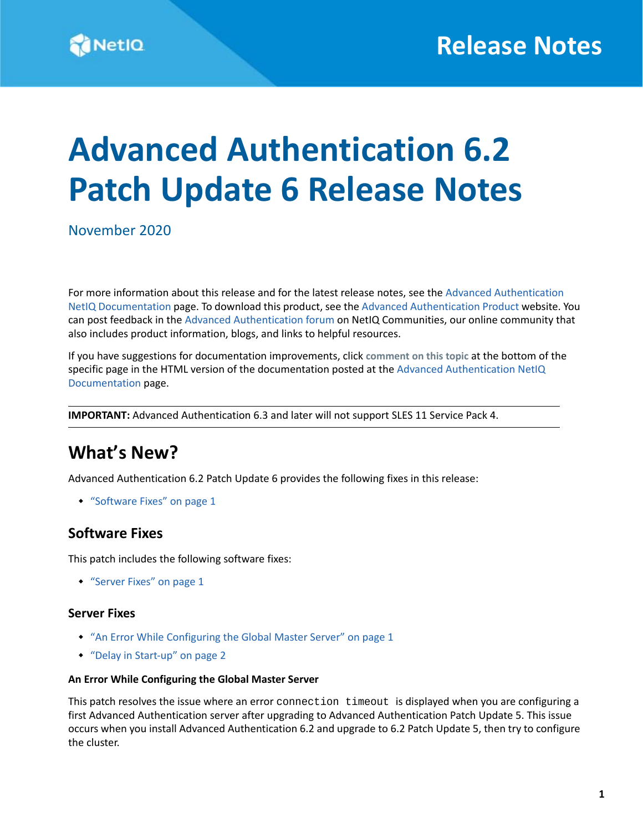# **Advanced Authentication 6.2 Patch Update 6 Release Notes**

November 2020

For more information about this release and for the latest release notes, see the [Advanced Authentication](https://www.netiq.com/documentation/advanced-authentication-62/)  [NetIQ Documentation](https://www.netiq.com/documentation/advanced-authentication-62/) page. To download this product, see the [Advanced Authentication Product](https://www.netiq.com/products/advanced-authentication-framework/) website. You can post feedback in the [Advanced Authentication forum](https://forums.novell.com/forumdisplay.php/1374-Advanced-Authentication) on NetIQ Communities, our online community that also includes product information, blogs, and links to helpful resources.

If you have suggestions for documentation improvements, click **comment on this topic** at the bottom of the specific page in the HTML version of the documentation posted at the [Advanced Authentication NetIQ](https://www.netiq.com/documentation/advanced-authentication-62/)  [Documentation](https://www.netiq.com/documentation/advanced-authentication-62/) page.

**IMPORTANT:** Advanced Authentication 6.3 and later will not support SLES 11 Service Pack 4.

### **What's New?**

Advanced Authentication 6.2 Patch Update 6 provides the following fixes in this release:

["Software Fixes" on page 1](#page-0-1)

### <span id="page-0-1"></span>**Software Fixes**

This patch includes the following software fixes:

["Server Fixes" on page 1](#page-0-0)

#### <span id="page-0-0"></span>**Server Fixes**

- ["An Error While Configuring the Global Master Server" on page 1](#page-0-2)
- ["Delay in Start-up" on page 2](#page-1-0)

#### <span id="page-0-2"></span>**An Error While Configuring the Global Master Server**

This patch resolves the issue where an error connection timeout is displayed when you are configuring a first Advanced Authentication server after upgrading to Advanced Authentication Patch Update 5. This issue occurs when you install Advanced Authentication 6.2 and upgrade to 6.2 Patch Update 5, then try to configure the cluster.